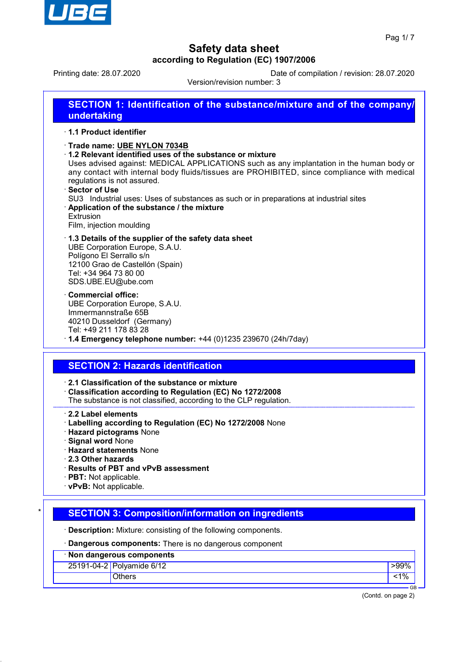

Printing date: 28.07.2020 Date of compilation / revision: 28.07.2020

Version/revision number: 3

| SECTION 1: Identification of the substance/mixture and of the company/<br>undertaking                                                                                                                                                                                                                                                                                                                                                                                                                                 |
|-----------------------------------------------------------------------------------------------------------------------------------------------------------------------------------------------------------------------------------------------------------------------------------------------------------------------------------------------------------------------------------------------------------------------------------------------------------------------------------------------------------------------|
| ⋅ 1.1 Product identifier                                                                                                                                                                                                                                                                                                                                                                                                                                                                                              |
| Trade name: UBE NYLON 7034B<br>1.2 Relevant identified uses of the substance or mixture<br>Uses advised against: MEDICAL APPLICATIONS such as any implantation in the human body or<br>any contact with internal body fluids/tissues are PROHIBITED, since compliance with medical<br>regulations is not assured.<br>· Sector of Use<br>SU3 Industrial uses: Uses of substances as such or in preparations at industrial sites<br>Application of the substance / the mixture<br>Extrusion<br>Film, injection moulding |
| 1.3 Details of the supplier of the safety data sheet<br>UBE Corporation Europe, S.A.U.<br>Polígono El Serrallo s/n<br>12100 Grao de Castellón (Spain)<br>Tel: +34 964 73 80 00<br>SDS.UBE.EU@ube.com                                                                                                                                                                                                                                                                                                                  |
| $\cdot$ Commercial office:<br>UBE Corporation Europe, S.A.U.<br>Immermannstraße 65B<br>40210 Dusseldorf (Germany)<br>Tel: +49 211 178 83 28<br>$\cdot$ 1.4 Emergency telephone number: +44 (0)1235 239670 (24h/7day)                                                                                                                                                                                                                                                                                                  |
| <b>SECTION 2: Hazards identification</b>                                                                                                                                                                                                                                                                                                                                                                                                                                                                              |
| 2.1 Classification of the substance or mixture<br>Classification according to Regulation (EC) No 1272/2008<br>The substance is not classified, according to the CLP regulation.                                                                                                                                                                                                                                                                                                                                       |
| 2.2 Label elements<br>· Labelling according to Regulation (EC) No 1272/2008 None<br>· Hazard pictograms None<br>· Signal word None<br>· Hazard statements None<br>2.3 Other hazards<br>· Results of PBT and vPvB assessment                                                                                                                                                                                                                                                                                           |

- · **PBT:** Not applicable.
- · **vPvB:** Not applicable.

# **SECTION 3: Composition/information on ingredients**

· **Description:** Mixture: consisting of the following components.

· **Dangerous components:** There is no dangerous component

| · Non dangerous components |                           |    |  |  |
|----------------------------|---------------------------|----|--|--|
|                            | 25191-04-2 Polyamide 6/12 |    |  |  |
|                            | Others                    |    |  |  |
|                            |                           | GE |  |  |

(Contd. on page 2)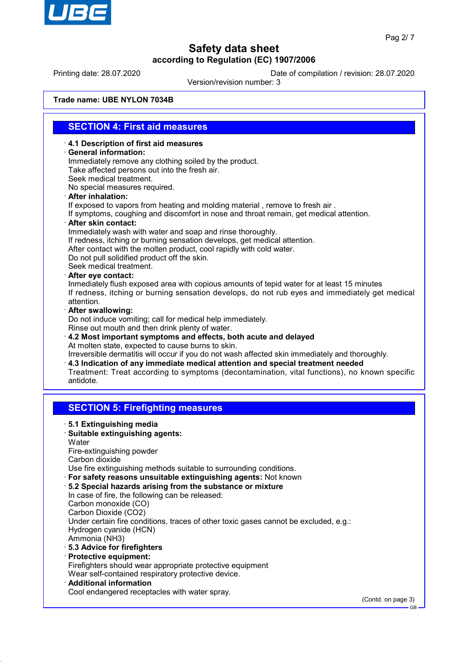

Printing date: 28.07.2020 Date of compilation / revision: 28.07.2020

Version/revision number: 3

**Trade name: UBE NYLON 7034B**

### **SECTION 4: First aid measures**

· **4.1 Description of first aid measures**

· **General information:**

Immediately remove any clothing soiled by the product. Take affected persons out into the fresh air. Seek medical treatment.

No special measures required.

· **After inhalation:**

If exposed to vapors from heating and molding material , remove to fresh air .

If symptoms, coughing and discomfort in nose and throat remain, get medical attention.

· **After skin contact:**

Immediately wash with water and soap and rinse thoroughly. If redness, itching or burning sensation develops, get medical attention. After contact with the molten product, cool rapidly with cold water. Do not pull solidified product off the skin. Seek medical treatment.

· **After eye contact:**

Inmediately flush exposed area with copious amounts of tepid water for at least 15 minutes If redness, itching or burning sensation develops, do not rub eyes and immediately get medical attention.

· **After swallowing:**

Do not induce vomiting; call for medical help immediately.

Rinse out mouth and then drink plenty of water.

· **4.2 Most important symptoms and effects, both acute and delayed** At molten state, expected to cause burns to skin. Irreversible dermatitis will occur if you do not wash affected skin immediately and thoroughly.

· **4.3 Indication of any immediate medical attention and special treatment needed** Treatment: Treat according to symptoms (decontamination, vital functions), no known specific antidote.

#### **SECTION 5: Firefighting measures**

- · **5.1 Extinguishing media**
- · **Suitable extinguishing agents:**
- **Water**
- Fire-extinguishing powder
- Carbon dioxide

Use fire extinguishing methods suitable to surrounding conditions.

- · **For safety reasons unsuitable extinguishing agents:** Not known
- · **5.2 Special hazards arising from the substance or mixture** In case of fire, the following can be released: Carbon monoxide (CO) Carbon Dioxide (CO2) Under certain fire conditions, traces of other toxic gases cannot be excluded, e.g.: Hydrogen cyanide (HCN) Ammonia (NH3)
- · **5.3 Advice for firefighters**
- · **Protective equipment:** Firefighters should wear appropriate protective equipment Wear self-contained respiratory protective device.
- · **Additional information**

Cool endangered receptacles with water spray.

(Contd. on page 3)

GB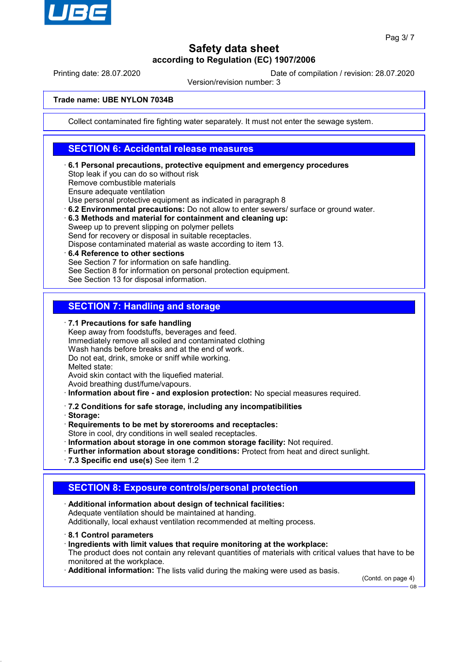

Printing date: 28.07.2020 Date of compilation / revision: 28.07.2020

Version/revision number: 3

#### **Trade name: UBE NYLON 7034B**

Collect contaminated fire fighting water separately. It must not enter the sewage system.

### **SECTION 6: Accidental release measures**

· **6.1 Personal precautions, protective equipment and emergency procedures** Stop leak if you can do so without risk Remove combustible materials Ensure adequate ventilation Use personal protective equipment as indicated in paragraph 8 · **6.2 Environmental precautions:** Do not allow to enter sewers/ surface or ground water. · **6.3 Methods and material for containment and cleaning up:**

Sweep up to prevent slipping on polymer pellets Send for recovery or disposal in suitable receptacles. Dispose contaminated material as waste according to item 13. · **6.4 Reference to other sections**

See Section 7 for information on safe handling. See Section 8 for information on personal protection equipment. See Section 13 for disposal information.

### **SECTION 7: Handling and storage**

· **7.1 Precautions for safe handling**

Keep away from foodstuffs, beverages and feed. Immediately remove all soiled and contaminated clothing Wash hands before breaks and at the end of work. Do not eat, drink, smoke or sniff while working. Melted state: Avoid skin contact with the liquefied material.

Avoid breathing dust/fume/vapours.

· **Information about fire - and explosion protection:** No special measures required.

· **7.2 Conditions for safe storage, including any incompatibilities**

· **Storage:**

· **Requirements to be met by storerooms and receptacles:**

Store in cool, dry conditions in well sealed receptacles.

· **Information about storage in one common storage facility:** Not required.

· **Further information about storage conditions:** Protect from heat and direct sunlight.

· **7.3 Specific end use(s)** See item 1.2

#### **SECTION 8: Exposure controls/personal protection**

· **Additional information about design of technical facilities:** Adequate ventilation should be maintained at handing. Additionally, local exhaust ventilation recommended at melting process.

- · **8.1 Control parameters**
- · **Ingredients with limit values that require monitoring at the workplace:** The product does not contain any relevant quantities of materials with critical values that have to be monitored at the workplace.

· **Additional information:** The lists valid during the making were used as basis.

(Contd. on page 4)

GB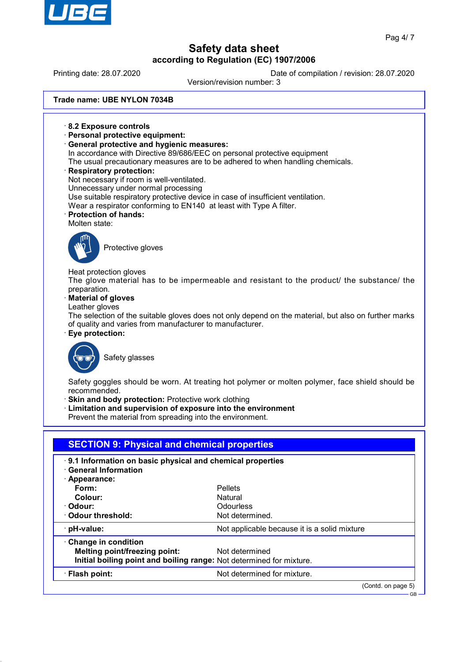

Printing date: 28.07.2020 Date of compilation / revision: 28.07.2020

Version/revision number: 3

**Trade name: UBE NYLON 7034B**

- · **8.2 Exposure controls**
- · **Personal protective equipment:**
- · **General protective and hygienic measures:**
- In accordance with Directive 89/686/EEC on personal protective equipment
- The usual precautionary measures are to be adhered to when handling chemicals.
- · **Respiratory protection:**
- Not necessary if room is well-ventilated.
- Unnecessary under normal processing
- Use suitable respiratory protective device in case of insufficient ventilation.
- Wear a respirator conforming to EN140 at least with Type A filter.
- · **Protection of hands:**

#### Molten state:



Protective gloves

Heat protection gloves The glove material has to be impermeable and resistant to the product/ the substance/ the preparation.

· **Material of gloves**

Leather gloves

The selection of the suitable gloves does not only depend on the material, but also on further marks of quality and varies from manufacturer to manufacturer.

· **Eye protection:**



Safety glasses

Safety goggles should be worn. At treating hot polymer or molten polymer, face shield should be recommended.

- **Skin and body protection: Protective work clothing**
- Limitation and supervision of exposure into the environment

Prevent the material from spreading into the environment.

| · General Information<br>· Appearance: | 9.1 Information on basic physical and chemical properties            |
|----------------------------------------|----------------------------------------------------------------------|
| Form:                                  | <b>Pellets</b>                                                       |
| Colour:                                | Natural                                                              |
| · Odour:                               | <b>Odourless</b>                                                     |
| Odour threshold:                       | Not determined.                                                      |
| $\cdot$ pH-value:                      | Not applicable because it is a solid mixture                         |
| Change in condition                    |                                                                      |
| Melting point/freezing point:          | Not determined                                                       |
|                                        | Initial boiling point and boiling range: Not determined for mixture. |
| · Flash point:                         | Not determined for mixture.                                          |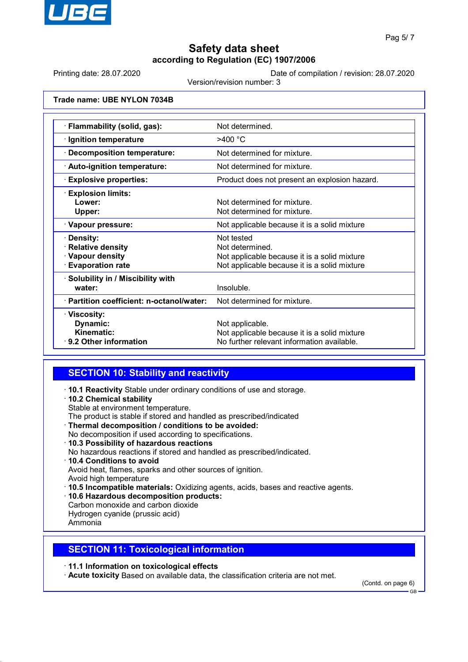

Printing date: 28.07.2020 Date of compilation / revision: 28.07.2020

Version/revision number: 3

**Trade name: UBE NYLON 7034B**

| · Flammability (solid, gas):                                               | Not determined.                                                                                                               |
|----------------------------------------------------------------------------|-------------------------------------------------------------------------------------------------------------------------------|
| · Ignition temperature                                                     | $>400$ °C                                                                                                                     |
| · Decomposition temperature:                                               | Not determined for mixture.                                                                                                   |
| · Auto-ignition temperature:                                               | Not determined for mixture.                                                                                                   |
| <b>Explosive properties:</b>                                               | Product does not present an explosion hazard.                                                                                 |
| <b>Explosion limits:</b><br>Lower:<br>Upper:                               | Not determined for mixture.<br>Not determined for mixture.                                                                    |
| · Vapour pressure:                                                         | Not applicable because it is a solid mixture                                                                                  |
| · Density:<br>· Relative density<br>· Vapour density<br>· Evaporation rate | Not tested<br>Not determined.<br>Not applicable because it is a solid mixture<br>Not applicable because it is a solid mixture |
| · Solubility in / Miscibility with<br>water:                               | Insoluble.                                                                                                                    |
| · Partition coefficient: n-octanol/water:                                  | Not determined for mixture.                                                                                                   |
| · Viscosity:<br>Dynamic:<br>Kinematic:<br>$\cdot$ 9.2 Other information    | Not applicable.<br>Not applicable because it is a solid mixture<br>No further relevant information available.                 |

# **SECTION 10: Stability and reactivity**

- · **10.1 Reactivity** Stable under ordinary conditions of use and storage.
- · **10.2 Chemical stability**
- Stable at environment temperature.
- The product is stable if stored and handled as prescribed/indicated
- · **Thermal decomposition / conditions to be avoided:**
- No decomposition if used according to specifications.
- · **10.3 Possibility of hazardous reactions**
- No hazardous reactions if stored and handled as prescribed/indicated.
- · **10.4 Conditions to avoid**

Avoid heat, flames, sparks and other sources of ignition.

- Avoid high temperature
- · **10.5 Incompatible materials:** Oxidizing agents, acids, bases and reactive agents.
- · **10.6 Hazardous decomposition products:**
- Carbon monoxide and carbon dioxide Hydrogen cyanide (prussic acid)

#### Ammonia

# **SECTION 11: Toxicological information**

· **11.1 Information on toxicological effects**

· **Acute toxicity** Based on available data, the classification criteria are not met.

(Contd. on page 6)

GB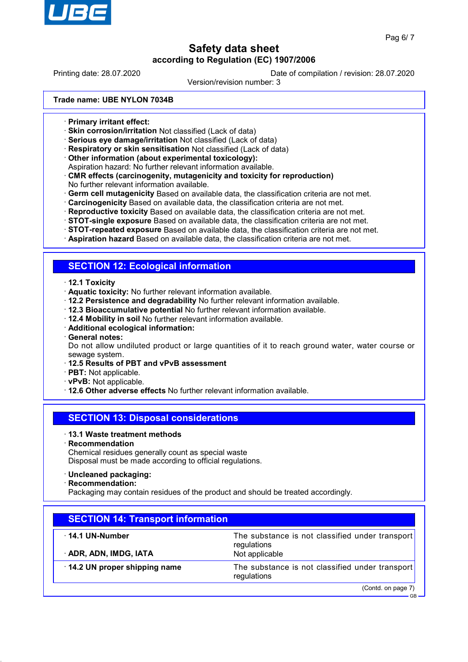

Printing date: 28.07.2020 Date of compilation / revision: 28.07.2020

Version/revision number: 3

**Trade name: UBE NYLON 7034B**

- · **Primary irritant effect:**
- · **Skin corrosion/irritation** Not classified (Lack of data)
- · **Serious eye damage/irritation** Not classified (Lack of data)
- · **Respiratory or skin sensitisation** Not classified (Lack of data)
- · **Other information (about experimental toxicology):**
- Aspiration hazard: No further relevant information available.
- · **CMR effects (carcinogenity, mutagenicity and toxicity for reproduction)** No further relevant information available.
- · **Germ cell mutagenicity** Based on available data, the classification criteria are not met.
- · **Carcinogenicity** Based on available data, the classification criteria are not met.
- · **Reproductive toxicity** Based on available data, the classification criteria are not met.
- · **STOT-single exposure** Based on available data, the classification criteria are not met.
- · **STOT-repeated exposure** Based on available data, the classification criteria are not met.
- · **Aspiration hazard** Based on available data, the classification criteria are not met.

#### **SECTION 12: Ecological information**

- · **12.1 Toxicity**
- · **Aquatic toxicity:** No further relevant information available.
- · **12.2 Persistence and degradability** No further relevant information available.
- · **12.3 Bioaccumulative potential** No further relevant information available.
- · **12.4 Mobility in soil** No further relevant information available.
- · **Additional ecological information:**
- · **General notes:**

Do not allow undiluted product or large quantities of it to reach ground water, water course or sewage system.

- · **12.5 Results of PBT and vPvB assessment**
- · **PBT:** Not applicable.
- · **vPvB:** Not applicable.
- · **12.6 Other adverse effects** No further relevant information available.

# **SECTION 13: Disposal considerations**

- · **13.1 Waste treatment methods**
- · **Recommendation**

Chemical residues generally count as special waste Disposal must be made according to official regulations.

- · **Uncleaned packaging:**
- · **Recommendation:**

Packaging may contain residues of the product and should be treated accordingly.

| <b>SECTION 14: Transport information</b> |                                                                |  |
|------------------------------------------|----------------------------------------------------------------|--|
| $\cdot$ 14.1 UN-Number                   | The substance is not classified under transport<br>regulations |  |
| · ADR, ADN, IMDG, IATA                   | Not applicable                                                 |  |
| 14.2 UN proper shipping name             | The substance is not classified under transport<br>regulations |  |
|                                          | (Contd. on page 7)<br>$GB -$                                   |  |